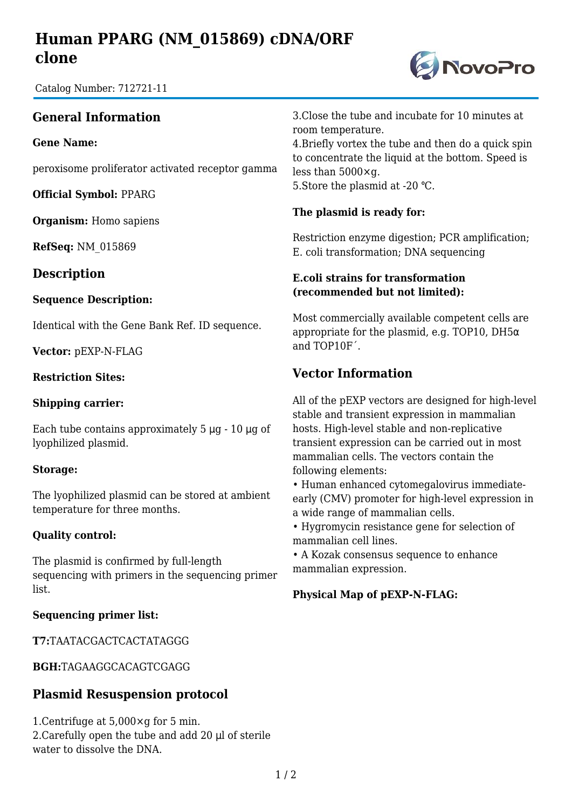# **Human PPARG (NM\_015869) cDNA/ORF clone**

Catalog Number: 712721-11

## **General Information**

**Gene Name:**

peroxisome proliferator activated receptor gamma

**Official Symbol:** PPARG

**Organism:** Homo sapiens

**RefSeq:** NM\_015869

### **Description**

#### **Sequence Description:**

Identical with the Gene Bank Ref. ID sequence.

**Vector:** pEXP-N-FLAG

#### **Restriction Sites:**

#### **Shipping carrier:**

Each tube contains approximately  $5 \mu g - 10 \mu g$  of lyophilized plasmid.

#### **Storage:**

The lyophilized plasmid can be stored at ambient temperature for three months.

#### **Quality control:**

The plasmid is confirmed by full-length sequencing with primers in the sequencing primer list.

#### **Sequencing primer list:**

**T7:**TAATACGACTCACTATAGGG

**BGH:**TAGAAGGCACAGTCGAGG

### **Plasmid Resuspension protocol**

1.Centrifuge at 5,000×g for 5 min. 2.Carefully open the tube and add 20 μl of sterile water to dissolve the DNA.

3.Close the tube and incubate for 10 minutes at room temperature.

4.Briefly vortex the tube and then do a quick spin to concentrate the liquid at the bottom. Speed is less than 5000×g. 5. Store the plasmid at -20 °C.

#### **The plasmid is ready for:**

Restriction enzyme digestion; PCR amplification; E. coli transformation; DNA sequencing

#### **E.coli strains for transformation (recommended but not limited):**

Most commercially available competent cells are appropriate for the plasmid, e.g. TOP10, DH5 $\alpha$ and TOP10F´.

## **Vector Information**

All of the pEXP vectors are designed for high-level stable and transient expression in mammalian hosts. High-level stable and non-replicative transient expression can be carried out in most mammalian cells. The vectors contain the following elements:

• Human enhanced cytomegalovirus immediateearly (CMV) promoter for high-level expression in a wide range of mammalian cells.

• Hygromycin resistance gene for selection of mammalian cell lines.

• A Kozak consensus sequence to enhance mammalian expression.

#### **Physical Map of pEXP-N-FLAG:**